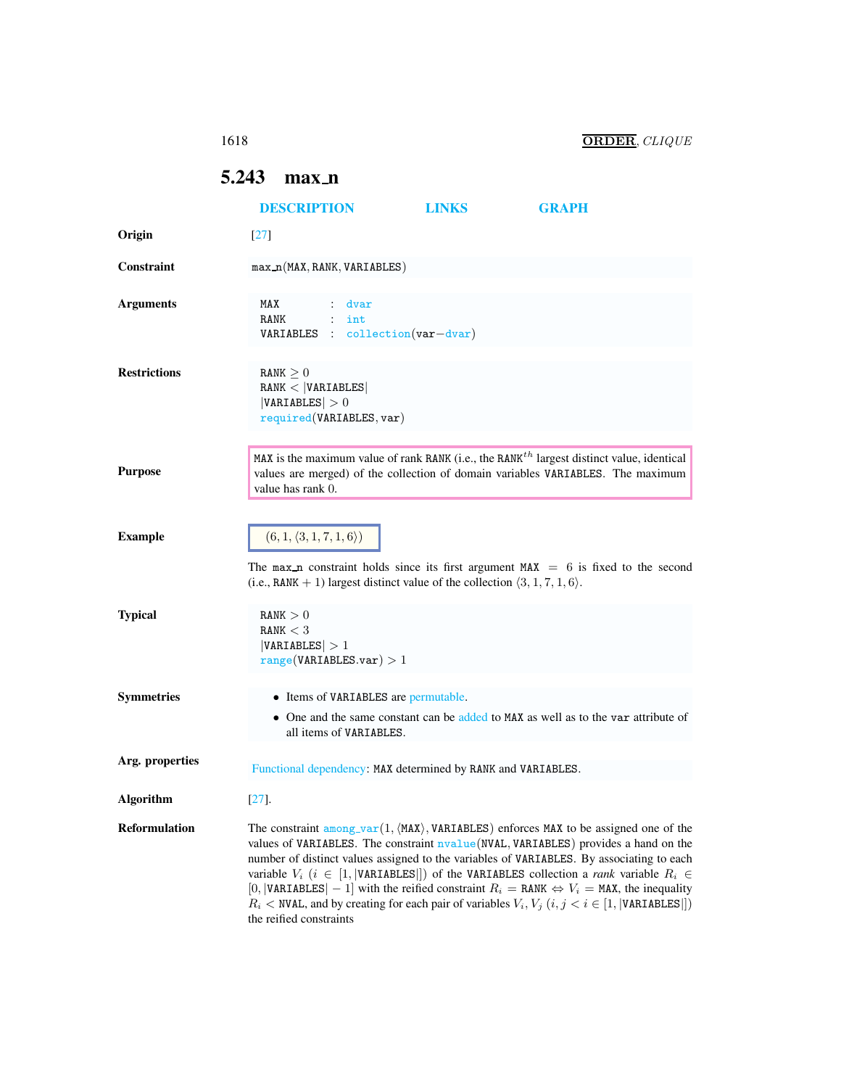## <span id="page-0-0"></span>5.243 max\_n

|                      | <b>DESCRIPTION</b>                                                                                                                                                                                                                                                                                                                                                                                                                                                                                                                                                                                                                                                         | <b>LINKS</b> | GRAPH                                                                                                                                                                                    |  |
|----------------------|----------------------------------------------------------------------------------------------------------------------------------------------------------------------------------------------------------------------------------------------------------------------------------------------------------------------------------------------------------------------------------------------------------------------------------------------------------------------------------------------------------------------------------------------------------------------------------------------------------------------------------------------------------------------------|--------------|------------------------------------------------------------------------------------------------------------------------------------------------------------------------------------------|--|
| Origin               | $\lceil 27 \rceil$                                                                                                                                                                                                                                                                                                                                                                                                                                                                                                                                                                                                                                                         |              |                                                                                                                                                                                          |  |
| Constraint           | max_n(MAX, RANK, VARIABLES)                                                                                                                                                                                                                                                                                                                                                                                                                                                                                                                                                                                                                                                |              |                                                                                                                                                                                          |  |
| <b>Arguments</b>     | MAX<br>: dvar<br>RANK<br>$:$ int<br>$VARIABLES : collection(var-dvar)$                                                                                                                                                                                                                                                                                                                                                                                                                                                                                                                                                                                                     |              |                                                                                                                                                                                          |  |
| <b>Restrictions</b>  | RANK > 0<br>RANK <  VARIABLES <br> VARIABLES  > 0<br>required(VARIABLES, var)                                                                                                                                                                                                                                                                                                                                                                                                                                                                                                                                                                                              |              |                                                                                                                                                                                          |  |
| <b>Purpose</b>       | value has rank 0.                                                                                                                                                                                                                                                                                                                                                                                                                                                                                                                                                                                                                                                          |              | MAX is the maximum value of rank RANK (i.e., the RANK <sup>th</sup> largest distinct value, identical<br>values are merged) of the collection of domain variables VARIABLES. The maximum |  |
| <b>Example</b>       | $(6, 1, \langle 3, 1, 7, 1, 6 \rangle)$<br>The max n constraint holds since its first argument $MAX = 6$ is fixed to the second<br>(i.e., RANK + 1) largest distinct value of the collection $\langle 3, 1, 7, 1, 6 \rangle$ .                                                                                                                                                                                                                                                                                                                                                                                                                                             |              |                                                                                                                                                                                          |  |
| <b>Typical</b>       | RANK > 0<br>RANK $<$ 3<br> VARIABLES  > 1<br>range(VARIABLES.var) > 1                                                                                                                                                                                                                                                                                                                                                                                                                                                                                                                                                                                                      |              |                                                                                                                                                                                          |  |
| <b>Symmetries</b>    | • Items of VARIABLES are permutable.<br>all items of VARIABLES.                                                                                                                                                                                                                                                                                                                                                                                                                                                                                                                                                                                                            |              | • One and the same constant can be added to MAX as well as to the var attribute of                                                                                                       |  |
| Arg. properties      | Functional dependency: MAX determined by RANK and VARIABLES.                                                                                                                                                                                                                                                                                                                                                                                                                                                                                                                                                                                                               |              |                                                                                                                                                                                          |  |
| <b>Algorithm</b>     | $[27]$ .                                                                                                                                                                                                                                                                                                                                                                                                                                                                                                                                                                                                                                                                   |              |                                                                                                                                                                                          |  |
| <b>Reformulation</b> | The constraint among_var(1, $\langle$ MAX $\rangle$ , VARIABLES) enforces MAX to be assigned one of the<br>values of VARIABLES. The constraint nvalue (NVAL, VARIABLES) provides a hand on the<br>number of distinct values assigned to the variables of VARIABLES. By associating to each<br>variable $V_i$ ( $i \in [1,  \text{VARIABLES} )$ ) of the VARIABLES collection a <i>rank</i> variable $R_i \in$<br>[0,  VARIABLES   - 1] with the reified constraint $R_i =$ RANK $\Leftrightarrow V_i =$ MAX, the inequality<br>$R_i$ < NVAL, and by creating for each pair of variables $V_i$ , $V_j$ $(i, j < i \in [1,  V \text{ARIABLES} ])$<br>the reified constraints |              |                                                                                                                                                                                          |  |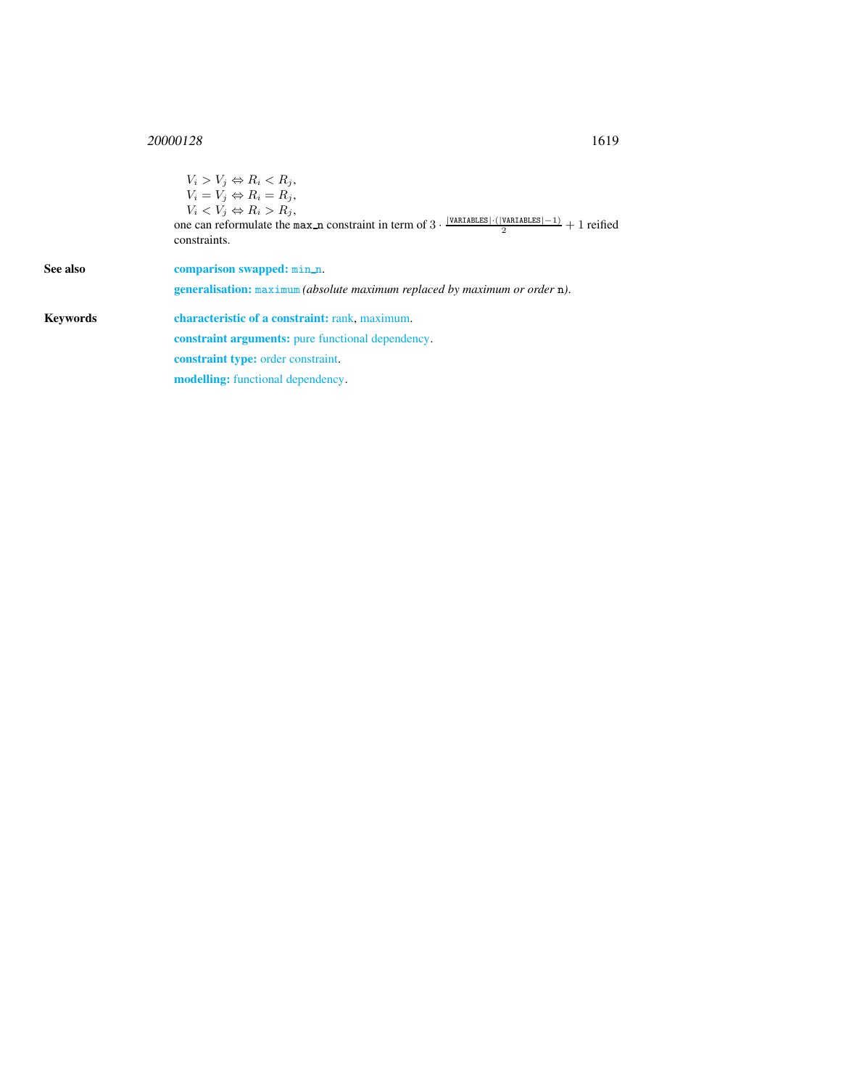## <sup>20000128</sup> 1619

<span id="page-1-0"></span>

|          | $V_i > V_i \Leftrightarrow R_i < R_i$<br>$V_i = V_j \Leftrightarrow R_i = R_j,$<br>$V_i \langle V_i \Leftrightarrow R_i \rangle R_i,$<br>one can reformulate the max n constraint in term of $3 \cdot \frac{ \text{VARTABLES}  \cdot ( \text{VARTABLES} -1)}{2} + 1$ reified<br>constraints. |
|----------|----------------------------------------------------------------------------------------------------------------------------------------------------------------------------------------------------------------------------------------------------------------------------------------------|
| See also | comparison swapped: min_n.<br><b>generalisation:</b> maximum <i>(absolute maximum replaced by maximum or order n)</i> .                                                                                                                                                                      |
| Kevwords | characteristic of a constraint: rank, maximum.                                                                                                                                                                                                                                               |
|          | <b>constraint arguments:</b> pure functional dependency.                                                                                                                                                                                                                                     |
|          | <b>constraint type:</b> order constraint.                                                                                                                                                                                                                                                    |
|          | <b>modelling:</b> functional dependency.                                                                                                                                                                                                                                                     |
|          |                                                                                                                                                                                                                                                                                              |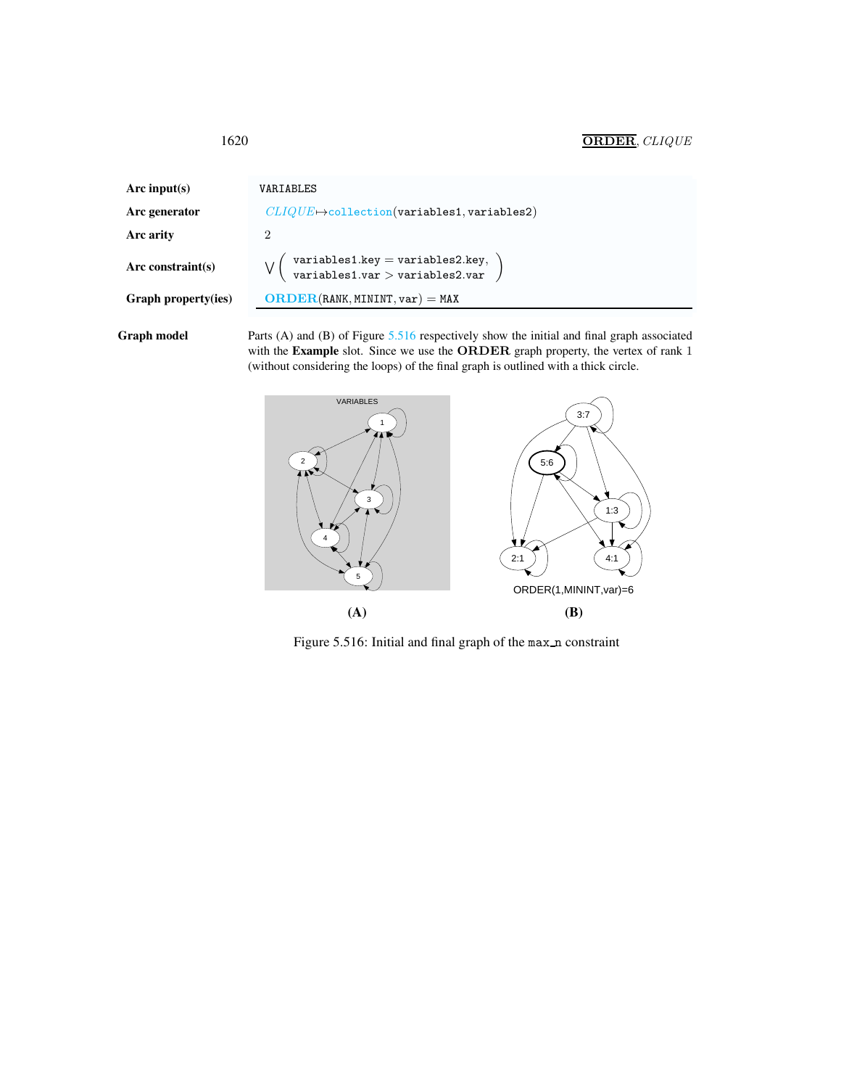| Arc input(s)        | VARIABLES                                                           |
|---------------------|---------------------------------------------------------------------|
| Arc generator       | $CLIQUE \mapsto$ collection(variables1, variables2)                 |
| Arc arity           | 2                                                                   |
| Arc constraint(s)   | variables1.key = variables2.key,<br>variables1.var > variables2.var |
| Graph property(ies) | $ORDER(RANK, MININT, var) = MAX$                                    |
|                     |                                                                     |

Graph model Parts (A) and (B) of Figure [5.516](#page-2-1) respectively show the initial and final graph associated with the Example slot. Since we use the ORDER graph property, the vertex of rank 1 (without considering the loops) of the final graph is outlined with a thick circle.



<span id="page-2-1"></span>Figure 5.516: Initial and final graph of the max n constraint

<span id="page-2-0"></span>